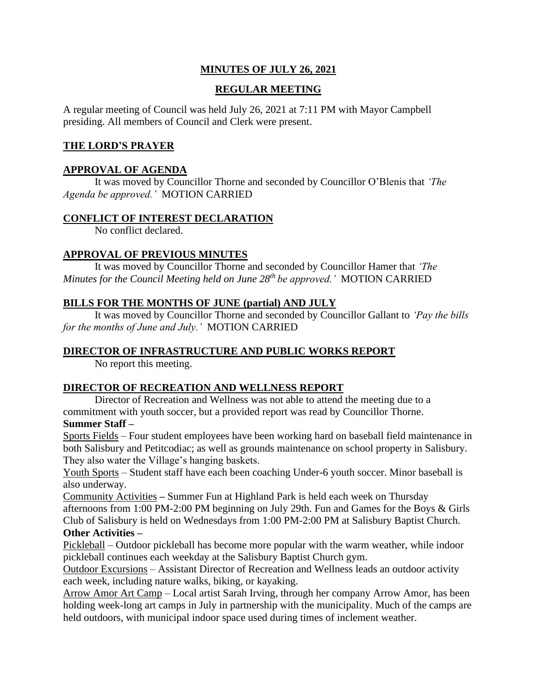## **MINUTES OF JULY 26, 2021**

## **REGULAR MEETING**

A regular meeting of Council was held July 26, 2021 at 7:11 PM with Mayor Campbell presiding. All members of Council and Clerk were present.

## **THE LORD'S PRAYER**

### **APPROVAL OF AGENDA**

It was moved by Councillor Thorne and seconded by Councillor O'Blenis that *'The Agenda be approved.'* MOTION CARRIED

### **CONFLICT OF INTEREST DECLARATION**

No conflict declared.

### **APPROVAL OF PREVIOUS MINUTES**

It was moved by Councillor Thorne and seconded by Councillor Hamer that *'The Minutes for the Council Meeting held on June 28th be approved.'* MOTION CARRIED

### **BILLS FOR THE MONTHS OF JUNE (partial) AND JULY**

It was moved by Councillor Thorne and seconded by Councillor Gallant to *'Pay the bills for the months of June and July.'* MOTION CARRIED

### **DIRECTOR OF INFRASTRUCTURE AND PUBLIC WORKS REPORT**

No report this meeting.

### **DIRECTOR OF RECREATION AND WELLNESS REPORT**

Director of Recreation and Wellness was not able to attend the meeting due to a commitment with youth soccer, but a provided report was read by Councillor Thorne.

### **Summer Staff –**

Sports Fields – Four student employees have been working hard on baseball field maintenance in both Salisbury and Petitcodiac; as well as grounds maintenance on school property in Salisbury. They also water the Village's hanging baskets.

Youth Sports – Student staff have each been coaching Under-6 youth soccer. Minor baseball is also underway.

Community Activities **–** Summer Fun at Highland Park is held each week on Thursday afternoons from 1:00 PM-2:00 PM beginning on July 29th. Fun and Games for the Boys & Girls Club of Salisbury is held on Wednesdays from 1:00 PM-2:00 PM at Salisbury Baptist Church. **Other Activities –**

Pickleball – Outdoor pickleball has become more popular with the warm weather, while indoor pickleball continues each weekday at the Salisbury Baptist Church gym.

Outdoor Excursions – Assistant Director of Recreation and Wellness leads an outdoor activity each week, including nature walks, biking, or kayaking.

Arrow Amor Art Camp – Local artist Sarah Irving, through her company Arrow Amor, has been holding week-long art camps in July in partnership with the municipality. Much of the camps are held outdoors, with municipal indoor space used during times of inclement weather.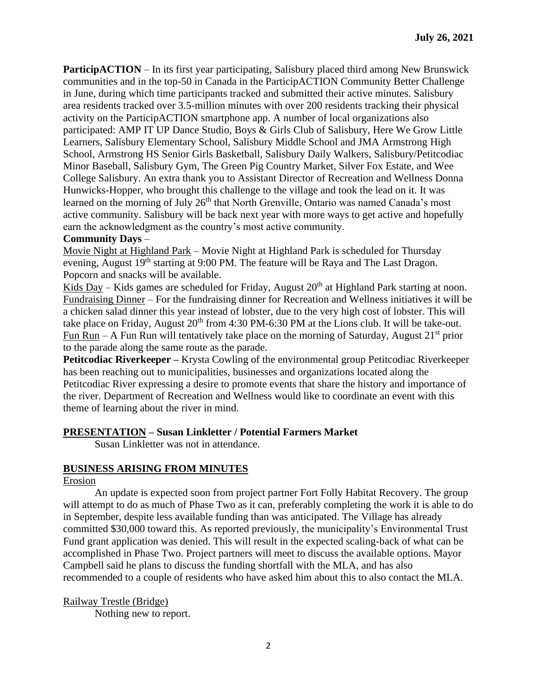**ParticipACTION** – In its first year participating, Salisbury placed third among New Brunswick communities and in the top-50 in Canada in the ParticipACTION Community Better Challenge in June, during which time participants tracked and submitted their active minutes. Salisbury area residents tracked over 3.5-million minutes with over 200 residents tracking their physical activity on the ParticipACTION smartphone app. A number of local organizations also participated: AMP IT UP Dance Studio, Boys & Girls Club of Salisbury, Here We Grow Little Learners, Salisbury Elementary School, Salisbury Middle School and JMA Armstrong High School, Armstrong HS Senior Girls Basketball, Salisbury Daily Walkers, Salisbury/Petitcodiac Minor Baseball, Salisbury Gym, The Green Pig Country Market, Silver Fox Estate, and Wee College Salisbury. An extra thank you to Assistant Director of Recreation and Wellness Donna Hunwicks-Hopper, who brought this challenge to the village and took the lead on it. It was learned on the morning of July 26<sup>th</sup> that North Grenville, Ontario was named Canada's most active community. Salisbury will be back next year with more ways to get active and hopefully earn the acknowledgment as the country's most active community.

#### **Community Days** –

Movie Night at Highland Park – Movie Night at Highland Park is scheduled for Thursday evening, August 19<sup>th</sup> starting at 9:00 PM. The feature will be Raya and The Last Dragon. Popcorn and snacks will be available.

Kids Day – Kids games are scheduled for Friday, August  $20<sup>th</sup>$  at Highland Park starting at noon. Fundraising Dinner – For the fundraising dinner for Recreation and Wellness initiatives it will be a chicken salad dinner this year instead of lobster, due to the very high cost of lobster. This will take place on Friday, August  $20<sup>th</sup>$  from 4:30 PM-6:30 PM at the Lions club. It will be take-out. Fun Run – A Fun Run will tentatively take place on the morning of Saturday, August  $21<sup>st</sup>$  prior to the parade along the same route as the parade.

**Petitcodiac Riverkeeper** – Krysta Cowling of the environmental group Petitcodiac Riverkeeper has been reaching out to municipalities, businesses and organizations located along the Petitcodiac River expressing a desire to promote events that share the history and importance of the river. Department of Recreation and Wellness would like to coordinate an event with this theme of learning about the river in mind.

#### **PRESENTATION – Susan Linkletter / Potential Farmers Market**

Susan Linkletter was not in attendance.

#### **BUSINESS ARISING FROM MINUTES**

#### Erosion

An update is expected soon from project partner Fort Folly Habitat Recovery. The group will attempt to do as much of Phase Two as it can, preferably completing the work it is able to do in September, despite less available funding than was anticipated. The Village has already committed \$30,000 toward this. As reported previously, the municipality's Environmental Trust Fund grant application was denied. This will result in the expected scaling-back of what can be accomplished in Phase Two. Project partners will meet to discuss the available options. Mayor Campbell said he plans to discuss the funding shortfall with the MLA, and has also recommended to a couple of residents who have asked him about this to also contact the MLA.

Railway Trestle (Bridge) Nothing new to report.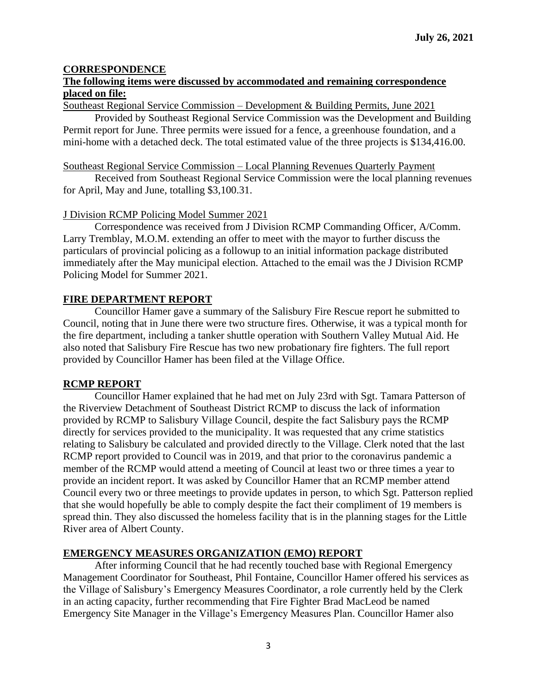### **CORRESPONDENCE**

### **The following items were discussed by accommodated and remaining correspondence placed on file:**

Southeast Regional Service Commission – Development & Building Permits, June 2021

Provided by Southeast Regional Service Commission was the Development and Building Permit report for June. Three permits were issued for a fence, a greenhouse foundation, and a mini-home with a detached deck. The total estimated value of the three projects is \$134,416.00.

#### Southeast Regional Service Commission – Local Planning Revenues Quarterly Payment

Received from Southeast Regional Service Commission were the local planning revenues for April, May and June, totalling \$3,100.31.

#### J Division RCMP Policing Model Summer 2021

Correspondence was received from J Division RCMP Commanding Officer, A/Comm. Larry Tremblay, M.O.M. extending an offer to meet with the mayor to further discuss the particulars of provincial policing as a followup to an initial information package distributed immediately after the May municipal election. Attached to the email was the J Division RCMP Policing Model for Summer 2021.

### **FIRE DEPARTMENT REPORT**

Councillor Hamer gave a summary of the Salisbury Fire Rescue report he submitted to Council, noting that in June there were two structure fires. Otherwise, it was a typical month for the fire department, including a tanker shuttle operation with Southern Valley Mutual Aid. He also noted that Salisbury Fire Rescue has two new probationary fire fighters. The full report provided by Councillor Hamer has been filed at the Village Office.

#### **RCMP REPORT**

Councillor Hamer explained that he had met on July 23rd with Sgt. Tamara Patterson of the Riverview Detachment of Southeast District RCMP to discuss the lack of information provided by RCMP to Salisbury Village Council, despite the fact Salisbury pays the RCMP directly for services provided to the municipality. It was requested that any crime statistics relating to Salisbury be calculated and provided directly to the Village. Clerk noted that the last RCMP report provided to Council was in 2019, and that prior to the coronavirus pandemic a member of the RCMP would attend a meeting of Council at least two or three times a year to provide an incident report. It was asked by Councillor Hamer that an RCMP member attend Council every two or three meetings to provide updates in person, to which Sgt. Patterson replied that she would hopefully be able to comply despite the fact their compliment of 19 members is spread thin. They also discussed the homeless facility that is in the planning stages for the Little River area of Albert County.

### **EMERGENCY MEASURES ORGANIZATION (EMO) REPORT**

After informing Council that he had recently touched base with Regional Emergency Management Coordinator for Southeast, Phil Fontaine, Councillor Hamer offered his services as the Village of Salisbury's Emergency Measures Coordinator, a role currently held by the Clerk in an acting capacity, further recommending that Fire Fighter Brad MacLeod be named Emergency Site Manager in the Village's Emergency Measures Plan. Councillor Hamer also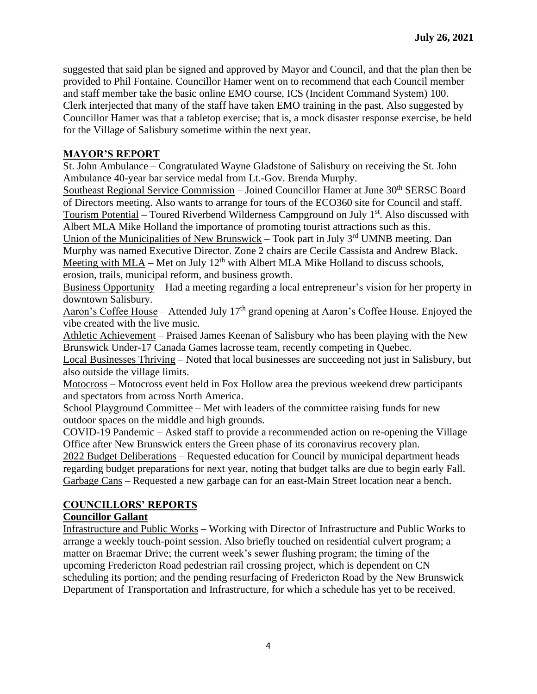suggested that said plan be signed and approved by Mayor and Council, and that the plan then be provided to Phil Fontaine. Councillor Hamer went on to recommend that each Council member and staff member take the basic online EMO course, ICS (Incident Command System) 100. Clerk interjected that many of the staff have taken EMO training in the past. Also suggested by Councillor Hamer was that a tabletop exercise; that is, a mock disaster response exercise, be held for the Village of Salisbury sometime within the next year.

### **MAYOR'S REPORT**

St. John Ambulance – Congratulated Wayne Gladstone of Salisbury on receiving the St. John Ambulance 40-year bar service medal from Lt.-Gov. Brenda Murphy.

Southeast Regional Service Commission - Joined Councillor Hamer at June 30<sup>th</sup> SERSC Board of Directors meeting. Also wants to arrange for tours of the ECO360 site for Council and staff. Tourism Potential – Toured Riverbend Wilderness Campground on July  $1<sup>st</sup>$ . Also discussed with Albert MLA Mike Holland the importance of promoting tourist attractions such as this.

Union of the Municipalities of New Brunswick – Took part in July  $3<sup>rd</sup>$  UMNB meeting. Dan Murphy was named Executive Director. Zone 2 chairs are Cecile Cassista and Andrew Black. Meeting with MLA – Met on July  $12<sup>th</sup>$  with Albert MLA Mike Holland to discuss schools, erosion, trails, municipal reform, and business growth.

Business Opportunity – Had a meeting regarding a local entrepreneur's vision for her property in downtown Salisbury.

Aaron's Coffee House – Attended July  $17<sup>th</sup>$  grand opening at Aaron's Coffee House. Enjoyed the vibe created with the live music.

Athletic Achievement – Praised James Keenan of Salisbury who has been playing with the New Brunswick Under-17 Canada Games lacrosse team, recently competing in Quebec.

Local Businesses Thriving – Noted that local businesses are succeeding not just in Salisbury, but also outside the village limits.

Motocross – Motocross event held in Fox Hollow area the previous weekend drew participants and spectators from across North America.

School Playground Committee – Met with leaders of the committee raising funds for new outdoor spaces on the middle and high grounds.

COVID-19 Pandemic – Asked staff to provide a recommended action on re-opening the Village Office after New Brunswick enters the Green phase of its coronavirus recovery plan.

2022 Budget Deliberations – Requested education for Council by municipal department heads regarding budget preparations for next year, noting that budget talks are due to begin early Fall. Garbage Cans – Requested a new garbage can for an east-Main Street location near a bench.

### **COUNCILLORS' REPORTS**

### **Councillor Gallant**

Infrastructure and Public Works – Working with Director of Infrastructure and Public Works to arrange a weekly touch-point session. Also briefly touched on residential culvert program; a matter on Braemar Drive; the current week's sewer flushing program; the timing of the upcoming Fredericton Road pedestrian rail crossing project, which is dependent on CN scheduling its portion; and the pending resurfacing of Fredericton Road by the New Brunswick Department of Transportation and Infrastructure, for which a schedule has yet to be received.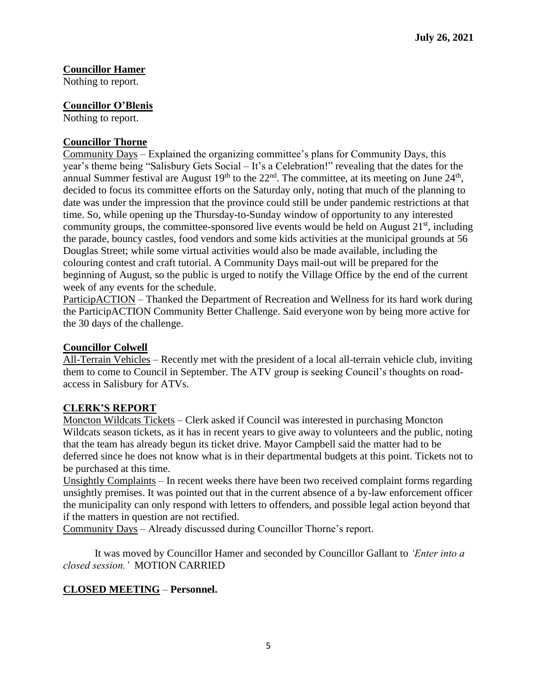# **Councillor Hamer**

Nothing to report.

### **Councillor O'Blenis**

Nothing to report.

### **Councillor Thorne**

Community Days – Explained the organizing committee's plans for Community Days, this year's theme being "Salisbury Gets Social – It's a Celebration!" revealing that the dates for the annual Summer festival are August  $19<sup>th</sup>$  to the  $22<sup>nd</sup>$ . The committee, at its meeting on June  $24<sup>th</sup>$ , decided to focus its committee efforts on the Saturday only, noting that much of the planning to date was under the impression that the province could still be under pandemic restrictions at that time. So, while opening up the Thursday-to-Sunday window of opportunity to any interested community groups, the committee-sponsored live events would be held on August  $21<sup>st</sup>$ , including the parade, bouncy castles, food vendors and some kids activities at the municipal grounds at 56 Douglas Street; while some virtual activities would also be made available, including the colouring contest and craft tutorial. A Community Days mail-out will be prepared for the beginning of August, so the public is urged to notify the Village Office by the end of the current week of any events for the schedule.

ParticipACTION – Thanked the Department of Recreation and Wellness for its hard work during the ParticipACTION Community Better Challenge. Said everyone won by being more active for the 30 days of the challenge.

#### **Councillor Colwell**

All-Terrain Vehicles – Recently met with the president of a local all-terrain vehicle club, inviting them to come to Council in September. The ATV group is seeking Council's thoughts on roadaccess in Salisbury for ATVs.

### **CLERK'S REPORT**

Moncton Wildcats Tickets – Clerk asked if Council was interested in purchasing Moncton Wildcats season tickets, as it has in recent years to give away to volunteers and the public, noting that the team has already begun its ticket drive. Mayor Campbell said the matter had to be deferred since he does not know what is in their departmental budgets at this point. Tickets not to be purchased at this time.

Unsightly Complaints – In recent weeks there have been two received complaint forms regarding unsightly premises. It was pointed out that in the current absence of a by-law enforcement officer the municipality can only respond with letters to offenders, and possible legal action beyond that if the matters in question are not rectified.

Community Days – Already discussed during Councillor Thorne's report.

It was moved by Councillor Hamer and seconded by Councillor Gallant to *'Enter into a closed session.'* MOTION CARRIED

#### **CLOSED MEETING** – **Personnel.**